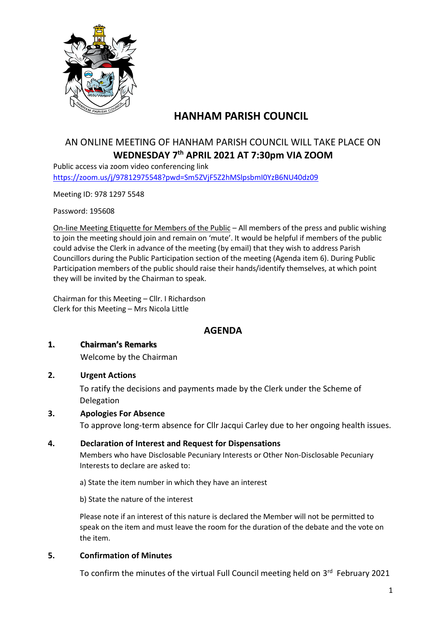

# **HANHAM PARISH COUNCIL**

# AN ONLINE MEETING OF HANHAM PARISH COUNCIL WILL TAKE PLACE ON **WEDNESDAY 7 th APRIL 2021 AT 7:30pm VIA ZOOM**

Public access via zoom video conferencing link <https://zoom.us/j/97812975548?pwd=Sm5ZVjF5Z2hMSlpsbmI0YzB6NU40dz09>

Meeting ID: 978 1297 5548

Password: 195608

On-line Meeting Etiquette for Members of the Public – All members of the press and public wishing to join the meeting should join and remain on 'mute'. It would be helpful if members of the public could advise the Clerk in advance of the meeting (by email) that they wish to address Parish Councillors during the Public Participation section of the meeting (Agenda item 6). During Public Participation members of the public should raise their hands/identify themselves, at which point they will be invited by the Chairman to speak.

Chairman for this Meeting – Cllr. I Richardson Clerk for this Meeting – Mrs Nicola Little

# **AGENDA**

#### **1. Chairman's Remarks**

Welcome by the Chairman

#### **2. Urgent Actions**

To ratify the decisions and payments made by the Clerk under the Scheme of Delegation

#### **3. Apologies For Absence**

To approve long-term absence for Cllr Jacqui Carley due to her ongoing health issues.

# **4. Declaration of Interest and Request for Dispensations** Members who have Disclosable Pecuniary Interests or Other Non-Disclosable Pecuniary Interests to declare are asked to:

a) State the item number in which they have an interest

b) State the nature of the interest

Please note if an interest of this nature is declared the Member will not be permitted to speak on the item and must leave the room for the duration of the debate and the vote on the item.

#### **5. Confirmation of Minutes**

To confirm the minutes of the virtual Full Council meeting held on 3<sup>rd</sup> February 2021